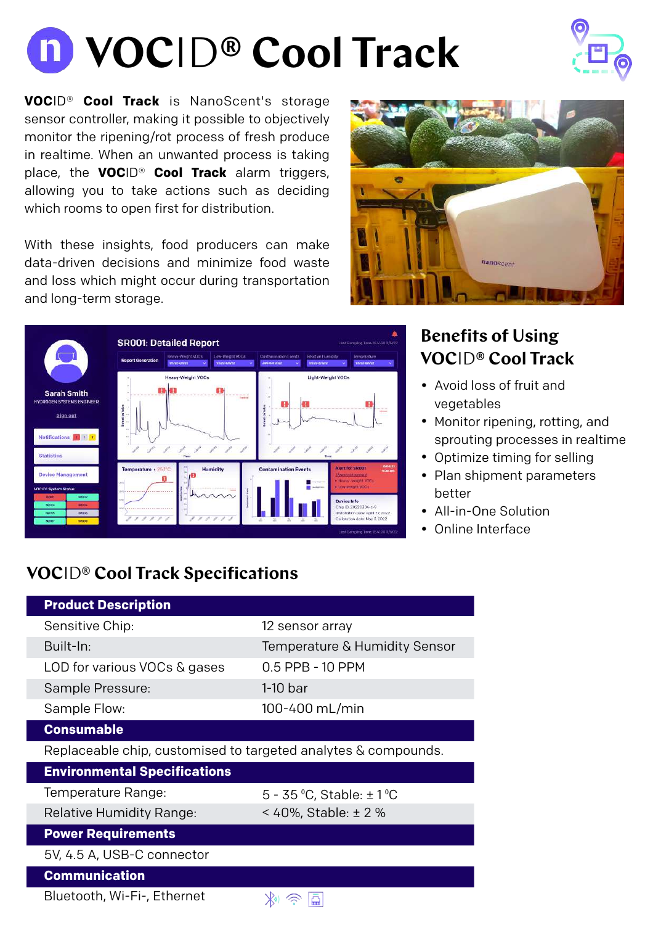



**VOC**ID® **Cool Track** is NanoScent's storage sensor controller, making it possible to objectively monitor the ripening/rot process of fresh produce in realtime. When an unwanted process is taking place, the **VOC**ID® **Cool Track** alarm triggers, allowing you to take actions such as deciding which rooms to open first for distribution.

With these insights, food producers can make data-driven decisions and minimize food waste and loss which might occur during transportation and long-term storage.





# **Benefits of Using VOC**ID**® Cool Track**

- Avoid loss of fruit and vegetables
- Monitor ripening, rotting, and sprouting processes in realtime
- Optimize timing for selling
- Plan shipment parameters better
- All-in-One Solution
- Online Interface

# **VOC**ID® **Cool Track Specifications**

| <b>Product Description</b>                                     |                               |
|----------------------------------------------------------------|-------------------------------|
| Sensitive Chip:                                                | 12 sensor array               |
| Built-In:                                                      | Temperature & Humidity Sensor |
| LOD for various VOCs & gases                                   | 0.5 PPB - 10 PPM              |
| Sample Pressure:                                               | $1-10$ bar                    |
| Sample Flow:                                                   | 100-400 mL/min                |
| <b>Consumable</b>                                              |                               |
| Replaceable chip, customised to targeted analytes & compounds. |                               |
| <b>Environmental Specifications</b>                            |                               |
| Temperature Range:                                             | 5 - 35 °C, Stable: $\pm$ 1 °C |
| <b>Relative Humidity Range:</b>                                | < 40%, Stable: $\pm$ 2 %      |
|                                                                |                               |
| <b>Power Requirements</b>                                      |                               |
| 5V, 4.5 A, USB-C connector                                     |                               |
| <b>Communication</b>                                           |                               |